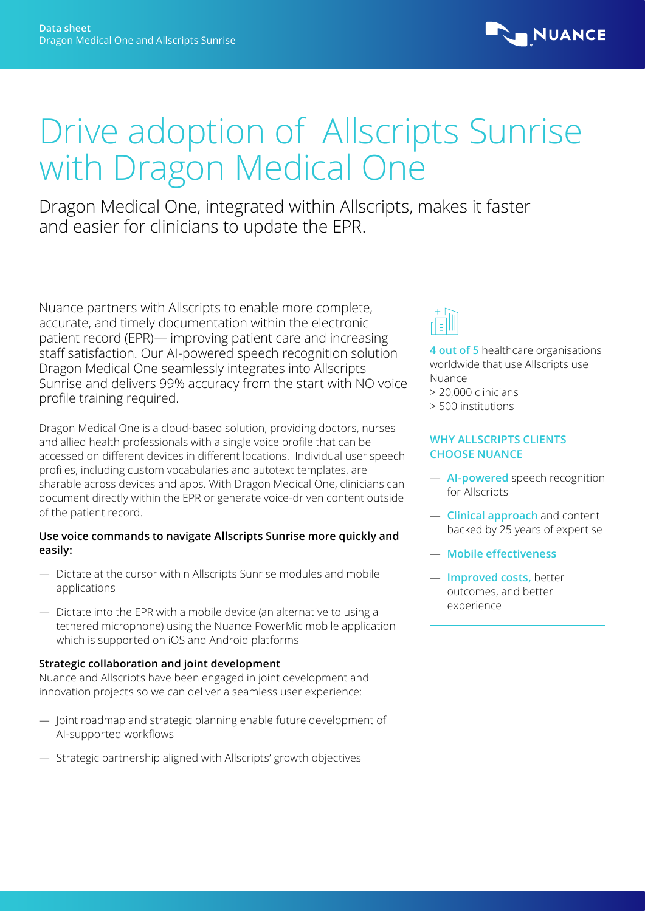

# Drive adoption of Allscripts Sunrise with Dragon Medical One

Dragon Medical One, integrated within Allscripts, makes it faster and easier for clinicians to update the EPR.

Nuance partners with Allscripts to enable more complete, accurate, and timely documentation within the electronic patient record (EPR)— improving patient care and increasing staff satisfaction. Our AI-powered speech recognition solution Dragon Medical One seamlessly integrates into Allscripts Sunrise and delivers 99% accuracy from the start with NO voice profile training required.

Dragon Medical One is a cloud-based solution, providing doctors, nurses and allied health professionals with a single voice profile that can be accessed on different devices in different locations. Individual user speech profiles, including custom vocabularies and autotext templates, are sharable across devices and apps. With Dragon Medical One, clinicians can document directly within the EPR or generate voice-driven content outside of the patient record.

#### **Use voice commands to navigate Allscripts Sunrise more quickly and easily:**

- Dictate at the cursor within Allscripts Sunrise modules and mobile applications
- Dictate into the EPR with a mobile device (an alternative to using a tethered microphone) using the Nuance PowerMic mobile application which is supported on iOS and Android platforms

#### **Strategic collaboration and joint development**

Nuance and Allscripts have been engaged in joint development and innovation projects so we can deliver a seamless user experience:

- Joint roadmap and strategic planning enable future development of AI-supported workflows
- Strategic partnership aligned with Allscripts' growth objectives



**4 out of 5** healthcare organisations worldwide that use Allscripts use Nuance

- > 20,000 clinicians
- > 500 institutions

## **WHY ALLSCRIPTS CLIENTS CHOOSE NUANCE**

- **AI-powered** speech recognition for Allscripts
- **Clinical approach** and content backed by 25 years of expertise
- **Mobile effectiveness**
- **Improved costs,** better outcomes, and better experience